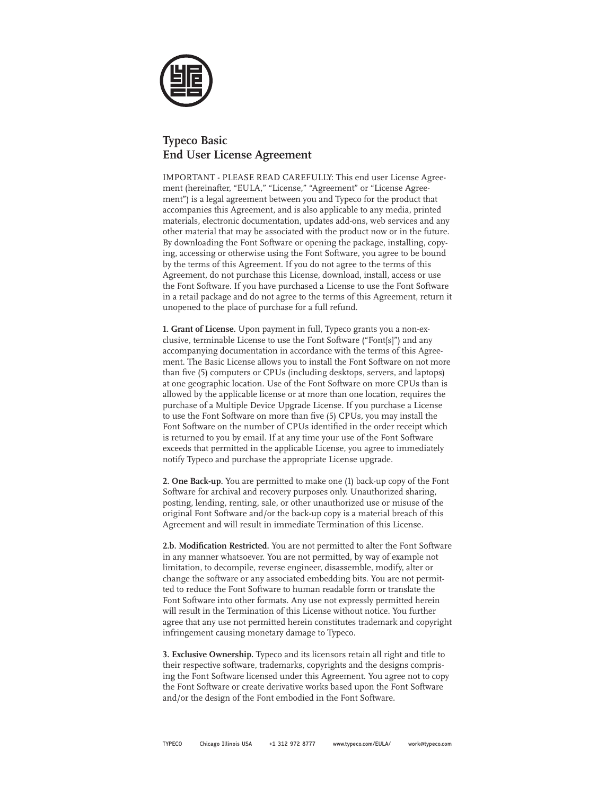

## **Typeco Basic End User License Agreement**

IMPORTANT - PLEASE READ CAREFULLY: This end user License Agreement (hereinafter, "EULA," "License," "Agreement" or "License Agreement") is a legal agreement between you and Typeco for the product that accompanies this Agreement, and is also applicable to any media, printed materials, electronic documentation, updates add-ons, web services and any other material that may be associated with the product now or in the future. By downloading the Font Software or opening the package, installing, copying, accessing or otherwise using the Font Software, you agree to be bound by the terms of this Agreement. If you do not agree to the terms of this Agreement, do not purchase this License, download, install, access or use the Font Software. If you have purchased a License to use the Font Software in a retail package and do not agree to the terms of this Agreement, return it unopened to the place of purchase for a full refund.

**1. Grant of License.** Upon payment in full, Typeco grants you a non-exclusive, terminable License to use the Font Software ("Font[s]") and any accompanying documentation in accordance with the terms of this Agreement. The Basic License allows you to install the Font Software on not more than five (5) computers or CPUs (including desktops, servers, and laptops) at one geographic location. Use of the Font Software on more CPUs than is allowed by the applicable license or at more than one location, requires the purchase of a Multiple Device Upgrade License. If you purchase a License to use the Font Software on more than five (5) CPUs, you may install the Font Software on the number of CPUs identified in the order receipt which is returned to you by email. If at any time your use of the Font Software exceeds that permitted in the applicable License, you agree to immediately notify Typeco and purchase the appropriate License upgrade.

**2. One Back-up.** You are permitted to make one (1) back-up copy of the Font Software for archival and recovery purposes only. Unauthorized sharing, posting, lending, renting, sale, or other unauthorized use or misuse of the original Font Software and/or the back-up copy is a material breach of this Agreement and will result in immediate Termination of this License.

**2.b. Modification Restricted.** You are not permitted to alter the Font Software in any manner whatsoever. You are not permitted, by way of example not limitation, to decompile, reverse engineer, disassemble, modify, alter or change the software or any associated embedding bits. You are not permitted to reduce the Font Software to human readable form or translate the Font Software into other formats. Any use not expressly permitted herein will result in the Termination of this License without notice. You further agree that any use not permitted herein constitutes trademark and copyright infringement causing monetary damage to Typeco.

**3. Exclusive Ownership.** Typeco and its licensors retain all right and title to their respective software, trademarks, copyrights and the designs comprising the Font Software licensed under this Agreement. You agree not to copy the Font Software or create derivative works based upon the Font Software and/or the design of the Font embodied in the Font Software.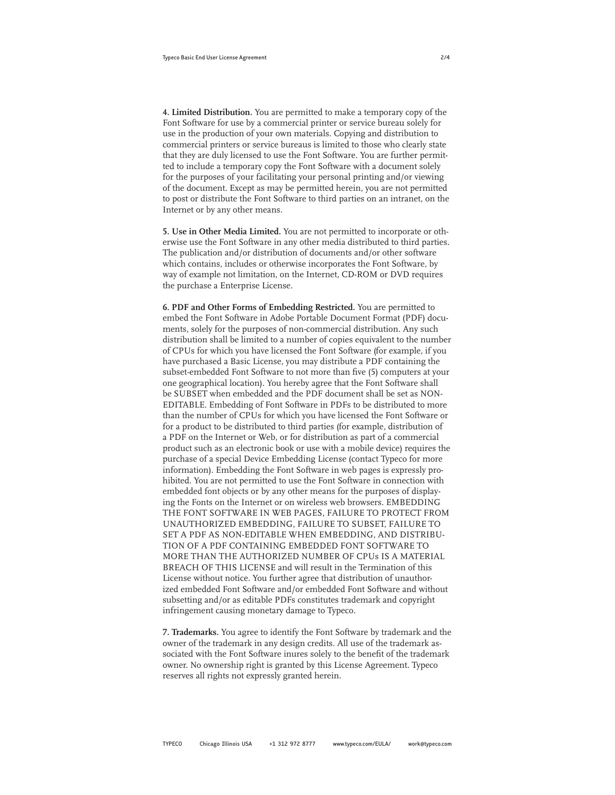**4. Limited Distribution.** You are permitted to make a temporary copy of the Font Software for use by a commercial printer or service bureau solely for use in the production of your own materials. Copying and distribution to commercial printers or service bureaus is limited to those who clearly state that they are duly licensed to use the Font Software. You are further permitted to include a temporary copy the Font Software with a document solely for the purposes of your facilitating your personal printing and/or viewing of the document. Except as may be permitted herein, you are not permitted to post or distribute the Font Software to third parties on an intranet, on the Internet or by any other means.

**5. Use in Other Media Limited.** You are not permitted to incorporate or otherwise use the Font Software in any other media distributed to third parties. The publication and/or distribution of documents and/or other software which contains, includes or otherwise incorporates the Font Software, by way of example not limitation, on the Internet, CD-ROM or DVD requires the purchase a Enterprise License.

**6. PDF and Other Forms of Embedding Restricted.** You are permitted to embed the Font Software in Adobe Portable Document Format (PDF) documents, solely for the purposes of non-commercial distribution. Any such distribution shall be limited to a number of copies equivalent to the number of CPUs for which you have licensed the Font Software (for example, if you have purchased a Basic License, you may distribute a PDF containing the subset-embedded Font Software to not more than five (5) computers at your one geographical location). You hereby agree that the Font Software shall be SUBSET when embedded and the PDF document shall be set as NON-EDITABLE. Embedding of Font Software in PDFs to be distributed to more than the number of CPUs for which you have licensed the Font Software or for a product to be distributed to third parties (for example, distribution of a PDF on the Internet or Web, or for distribution as part of a commercial product such as an electronic book or use with a mobile device) requires the purchase of a special Device Embedding License (contact Typeco for more information). Embedding the Font Software in web pages is expressly prohibited. You are not permitted to use the Font Software in connection with embedded font objects or by any other means for the purposes of displaying the Fonts on the Internet or on wireless web browsers. EMBEDDING THE FONT SOFTWARE IN WEB PAGES, FAILURE TO PROTECT FROM UNAUTHORIZED EMBEDDING, FAILURE TO SUBSET, FAILURE TO SET A PDF AS NON-EDITABLE WHEN EMBEDDING, AND DISTRIBU-TION OF A PDF CONTAINING EMBEDDED FONT SOFTWARE TO MORE THAN THE AUTHORIZED NUMBER OF CPUs IS A MATERIAL BREACH OF THIS LICENSE and will result in the Termination of this License without notice. You further agree that distribution of unauthorized embedded Font Software and/or embedded Font Software and without subsetting and/or as editable PDFs constitutes trademark and copyright infringement causing monetary damage to Typeco.

**7. Trademarks.** You agree to identify the Font Software by trademark and the owner of the trademark in any design credits. All use of the trademark associated with the Font Software inures solely to the benefit of the trademark owner. No ownership right is granted by this License Agreement. Typeco reserves all rights not expressly granted herein.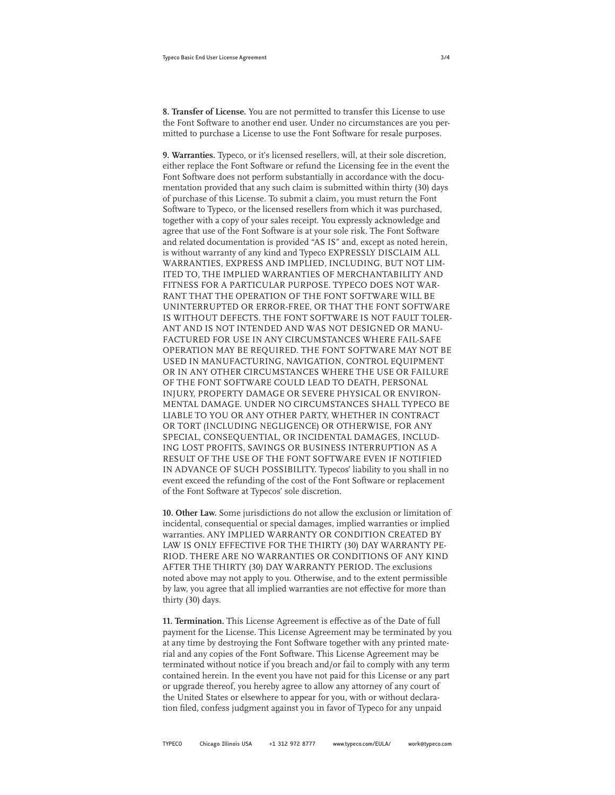**8. Transfer of License.** You are not permitted to transfer this License to use the Font Software to another end user. Under no circumstances are you permitted to purchase a License to use the Font Software for resale purposes.

**9. Warranties.** Typeco, or it's licensed resellers, will, at their sole discretion, either replace the Font Software or refund the Licensing fee in the event the Font Software does not perform substantially in accordance with the documentation provided that any such claim is submitted within thirty (30) days of purchase of this License. To submit a claim, you must return the Font Software to Typeco, or the licensed resellers from which it was purchased, together with a copy of your sales receipt. You expressly acknowledge and agree that use of the Font Software is at your sole risk. The Font Software and related documentation is provided "AS IS" and, except as noted herein, is without warranty of any kind and Typeco EXPRESSLY DISCLAIM ALL WARRANTIES, EXPRESS AND IMPLIED, INCLUDING, BUT NOT LIM-ITED TO, THE IMPLIED WARRANTIES OF MERCHANTABILITY AND FITNESS FOR A PARTICULAR PURPOSE. TYPECO DOES NOT WAR-RANT THAT THE OPERATION OF THE FONT SOFTWARE WILL BE UNINTERRUPTED OR ERROR-FREE, OR THAT THE FONT SOFTWARE IS WITHOUT DEFECTS. THE FONT SOFTWARE IS NOT FAULT TOLER-ANT AND IS NOT INTENDED AND WAS NOT DESIGNED OR MANU-FACTURED FOR USE IN ANY CIRCUMSTANCES WHERE FAIL-SAFE OPERATION MAY BE REQUIRED. THE FONT SOFTWARE MAY NOT BE USED IN MANUFACTURING, NAVIGATION, CONTROL EQUIPMENT OR IN ANY OTHER CIRCUMSTANCES WHERE THE USE OR FAILURE OF THE FONT SOFTWARE COULD LEAD TO DEATH, PERSONAL INJURY, PROPERTY DAMAGE OR SEVERE PHYSICAL OR ENVIRON-MENTAL DAMAGE. UNDER NO CIRCUMSTANCES SHALL TYPECO BE LIABLE TO YOU OR ANY OTHER PARTY, WHETHER IN CONTRACT OR TORT (INCLUDING NEGLIGENCE) OR OTHERWISE, FOR ANY SPECIAL, CONSEQUENTIAL, OR INCIDENTAL DAMAGES, INCLUD-ING LOST PROFITS, SAVINGS OR BUSINESS INTERRUPTION AS A RESULT OF THE USE OF THE FONT SOFTWARE EVEN IF NOTIFIED IN ADVANCE OF SUCH POSSIBILITY. Typecos' liability to you shall in no event exceed the refunding of the cost of the Font Software or replacement of the Font Software at Typecos' sole discretion.

**10. Other Law.** Some jurisdictions do not allow the exclusion or limitation of incidental, consequential or special damages, implied warranties or implied warranties. ANY IMPLIED WARRANTY OR CONDITION CREATED BY LAW IS ONLY EFFECTIVE FOR THE THIRTY (30) DAY WARRANTY PE-RIOD. THERE ARE NO WARRANTIES OR CONDITIONS OF ANY KIND AFTER THE THIRTY (30) DAY WARRANTY PERIOD. The exclusions noted above may not apply to you. Otherwise, and to the extent permissible by law, you agree that all implied warranties are not effective for more than thirty (30) days.

**11. Termination.** This License Agreement is effective as of the Date of full payment for the License. This License Agreement may be terminated by you at any time by destroying the Font Software together with any printed material and any copies of the Font Software. This License Agreement may be terminated without notice if you breach and/or fail to comply with any term contained herein. In the event you have not paid for this License or any part or upgrade thereof, you hereby agree to allow any attorney of any court of the United States or elsewhere to appear for you, with or without declaration filed, confess judgment against you in favor of Typeco for any unpaid